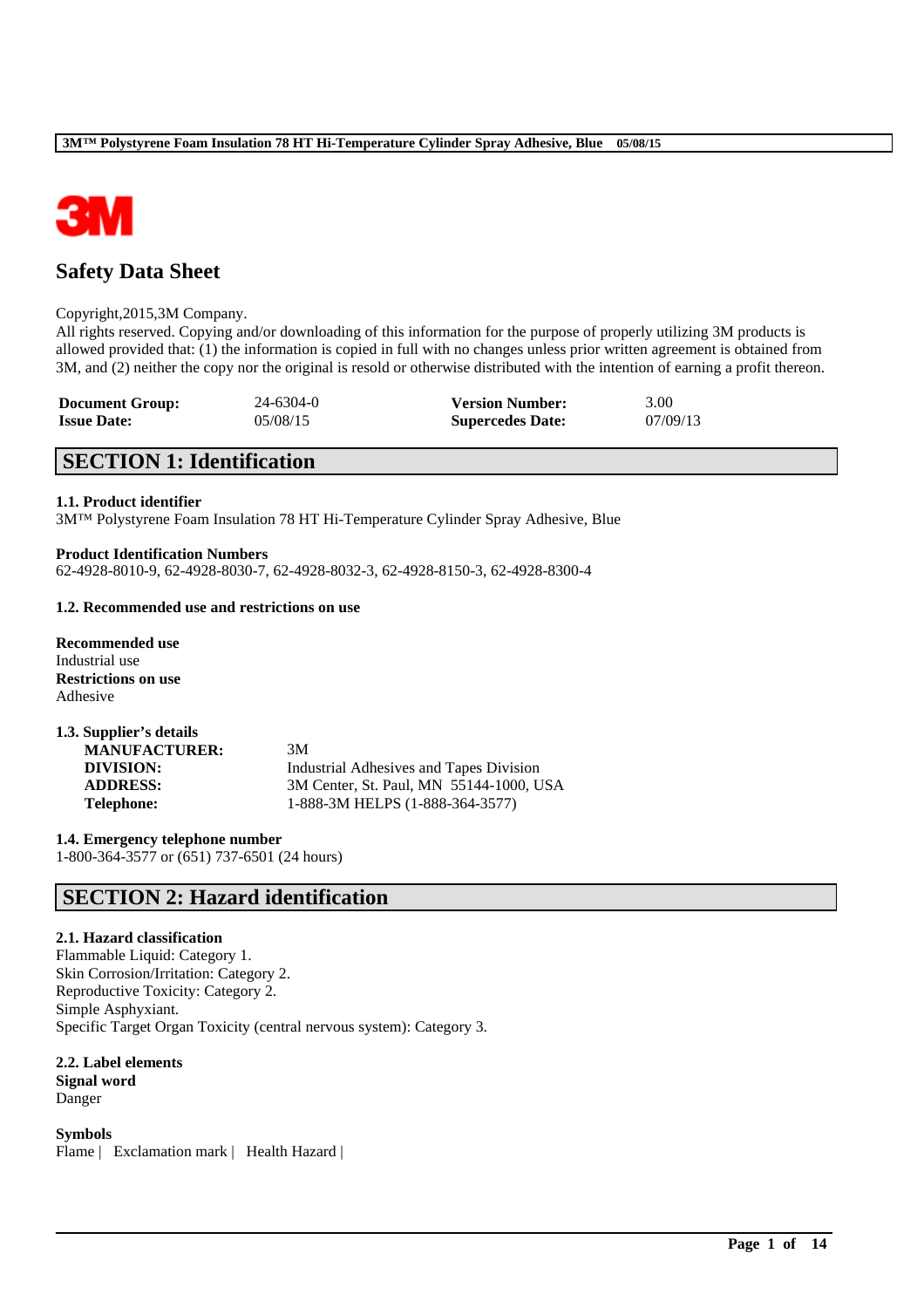

# **Safety Data Sheet**

#### Copyright,2015,3M Company.

All rights reserved. Copying and/or downloading of this information for the purpose of properly utilizing 3M products is allowed provided that: (1) the information is copied in full with no changes unless prior written agreement is obtained from 3M, and (2) neither the copy nor the original is resold or otherwise distributed with the intention of earning a profit thereon.

\_\_\_\_\_\_\_\_\_\_\_\_\_\_\_\_\_\_\_\_\_\_\_\_\_\_\_\_\_\_\_\_\_\_\_\_\_\_\_\_\_\_\_\_\_\_\_\_\_\_\_\_\_\_\_\_\_\_\_\_\_\_\_\_\_\_\_\_\_\_\_\_\_\_\_\_\_\_\_\_\_\_\_\_\_\_\_\_\_\_

| <b>Document Group:</b> | $24 - 6304 - 0$ | <b>Version Number:</b>  | 3.00     |
|------------------------|-----------------|-------------------------|----------|
| <b>Issue Date:</b>     | 05/08/15        | <b>Supercedes Date:</b> | 07/09/13 |

## **SECTION 1: Identification**

## **1.1. Product identifier**

3M™ Polystyrene Foam Insulation 78 HT Hi-Temperature Cylinder Spray Adhesive, Blue

#### **Product Identification Numbers**

62-4928-8010-9, 62-4928-8030-7, 62-4928-8032-3, 62-4928-8150-3, 62-4928-8300-4

## **1.2. Recommended use and restrictions on use**

**Recommended use** Industrial use **Restrictions on use** Adhesive

| 1.3. Supplier's details |                                         |
|-------------------------|-----------------------------------------|
| <b>MANUFACTURER:</b>    | 3M                                      |
| DIVISION:               | Industrial Adhesives and Tapes Division |
| <b>ADDRESS:</b>         | 3M Center, St. Paul, MN 55144-1000, USA |
| <b>Telephone:</b>       | 1-888-3M HELPS (1-888-364-3577)         |

**1.4. Emergency telephone number** 1-800-364-3577 or (651) 737-6501 (24 hours)

## **SECTION 2: Hazard identification**

## **2.1. Hazard classification**

Flammable Liquid: Category 1. Skin Corrosion/Irritation: Category 2. Reproductive Toxicity: Category 2. Simple Asphyxiant. Specific Target Organ Toxicity (central nervous system): Category 3.

## **2.2. Label elements**

**Signal word** Danger

**Symbols**

Flame | Exclamation mark | Health Hazard |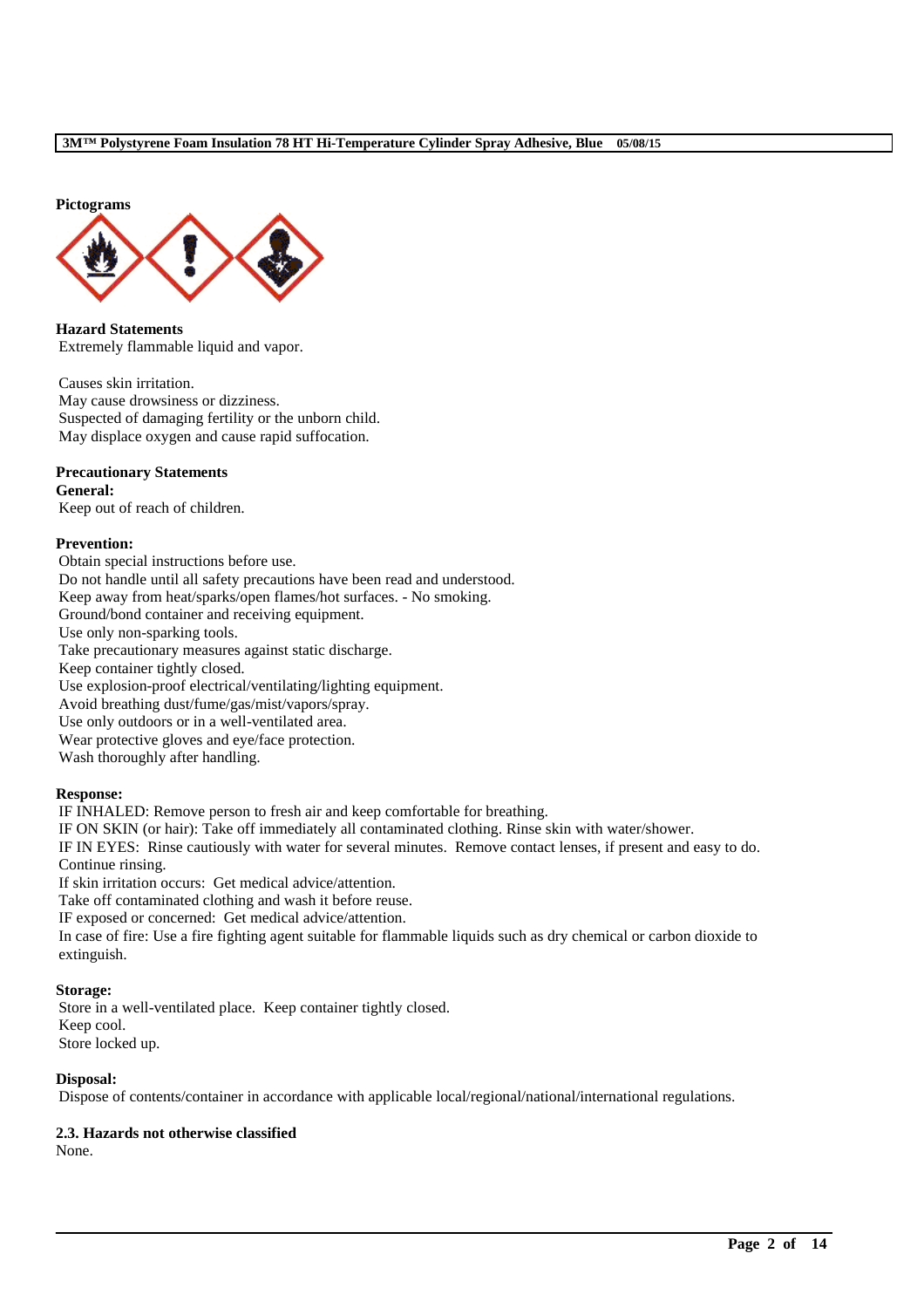**Pictograms**



**Hazard Statements** Extremely flammable liquid and vapor.

Causes skin irritation. May cause drowsiness or dizziness. Suspected of damaging fertility or the unborn child. May displace oxygen and cause rapid suffocation.

## **Precautionary Statements**

**General:** Keep out of reach of children.

#### **Prevention:**

Obtain special instructions before use. Do not handle until all safety precautions have been read and understood. Keep away from heat/sparks/open flames/hot surfaces. - No smoking. Ground/bond container and receiving equipment. Use only non-sparking tools. Take precautionary measures against static discharge. Keep container tightly closed. Use explosion-proof electrical/ventilating/lighting equipment. Avoid breathing dust/fume/gas/mist/vapors/spray. Use only outdoors or in a well-ventilated area. Wear protective gloves and eye/face protection. Wash thoroughly after handling.

#### **Response:**

IF INHALED: Remove person to fresh air and keep comfortable for breathing.

IF ON SKIN (or hair): Take off immediately all contaminated clothing. Rinse skin with water/shower.

IF IN EYES: Rinse cautiously with water for several minutes. Remove contact lenses, if present and easy to do. Continue rinsing.

If skin irritation occurs: Get medical advice/attention.

Take off contaminated clothing and wash it before reuse.

IF exposed or concerned: Get medical advice/attention.

In case of fire: Use a fire fighting agent suitable for flammable liquids such as dry chemical or carbon dioxide to extinguish.

## **Storage:**

Store in a well-ventilated place. Keep container tightly closed. Keep cool. Store locked up.

## **Disposal:**

Dispose of contents/container in accordance with applicable local/regional/national/international regulations.

\_\_\_\_\_\_\_\_\_\_\_\_\_\_\_\_\_\_\_\_\_\_\_\_\_\_\_\_\_\_\_\_\_\_\_\_\_\_\_\_\_\_\_\_\_\_\_\_\_\_\_\_\_\_\_\_\_\_\_\_\_\_\_\_\_\_\_\_\_\_\_\_\_\_\_\_\_\_\_\_\_\_\_\_\_\_\_\_\_\_

## **2.3. Hazards not otherwise classified**

None.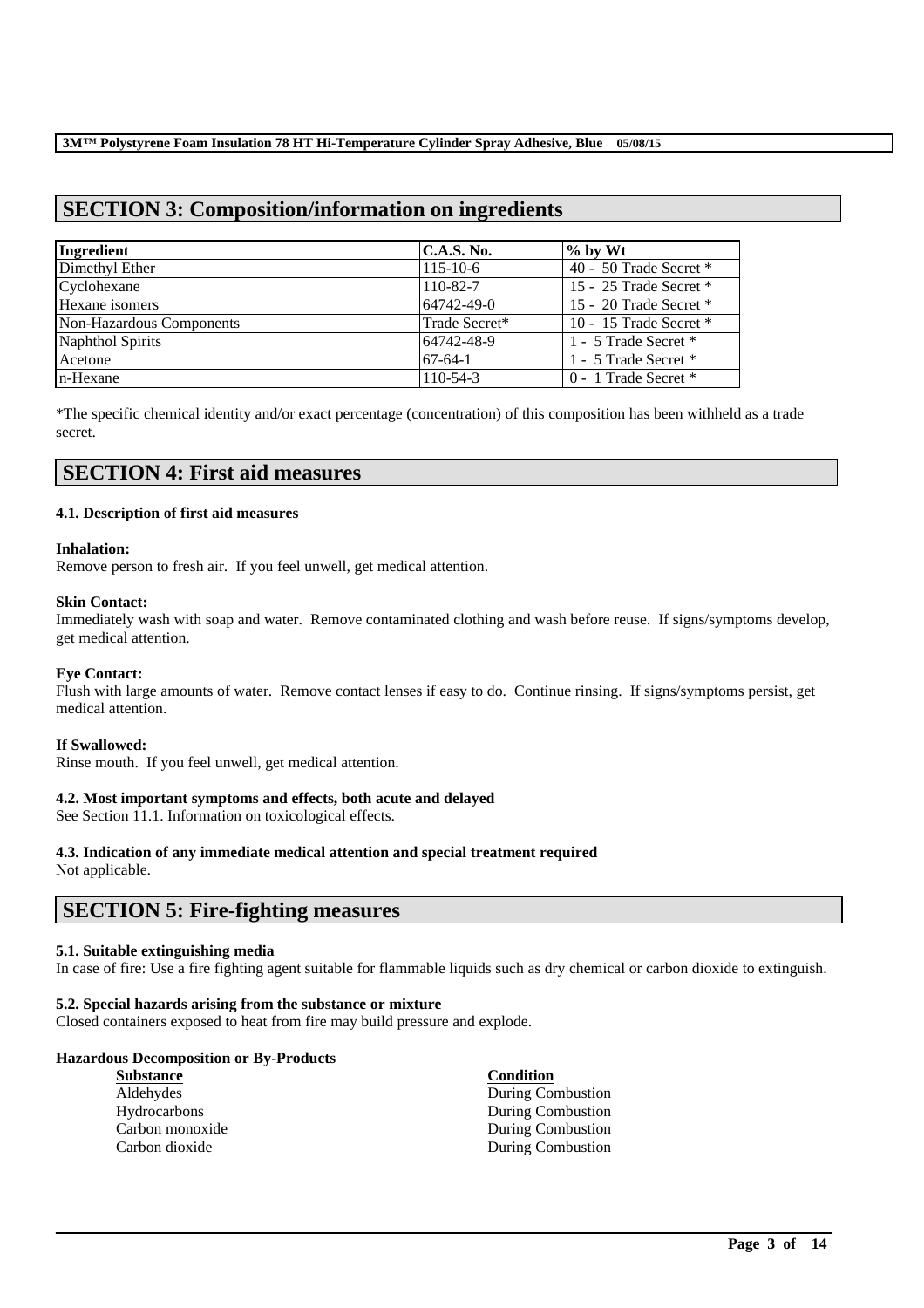# **SECTION 3: Composition/information on ingredients**

| Ingredient               | C.A.S. No.     | $\%$ by Wt               |
|--------------------------|----------------|--------------------------|
| Dimethyl Ether           | $115 - 10 - 6$ | 40 - 50 Trade Secret $*$ |
| Cyclohexane              | 110-82-7       | 15 - 25 Trade Secret $*$ |
| Hexane isomers           | 64742-49-0     | 15 - 20 Trade Secret *   |
| Non-Hazardous Components | Trade Secret*  | 10 - 15 Trade Secret $*$ |
| Naphthol Spirits         | 64742-48-9     | 1 - 5 Trade Secret *     |
| Acetone                  | $67-64-1$      | 1 - 5 Trade Secret *     |
| n-Hexane                 | $110 - 54 - 3$ | $0 - 1$ Trade Secret $*$ |

\*The specific chemical identity and/or exact percentage (concentration) of this composition has been withheld as a trade secret.

## **SECTION 4: First aid measures**

#### **4.1. Description of first aid measures**

#### **Inhalation:**

Remove person to fresh air. If you feel unwell, get medical attention.

#### **Skin Contact:**

Immediately wash with soap and water. Remove contaminated clothing and wash before reuse. If signs/symptoms develop, get medical attention.

#### **Eye Contact:**

Flush with large amounts of water. Remove contact lenses if easy to do. Continue rinsing. If signs/symptoms persist, get medical attention.

## **If Swallowed:**

Rinse mouth. If you feel unwell, get medical attention.

## **4.2. Most important symptoms and effects, both acute and delayed**

See Section 11.1. Information on toxicological effects.

## **4.3. Indication of any immediate medical attention and special treatment required**

Not applicable.

## **SECTION 5: Fire-fighting measures**

## **5.1. Suitable extinguishing media**

In case of fire: Use a fire fighting agent suitable for flammable liquids such as dry chemical or carbon dioxide to extinguish.

\_\_\_\_\_\_\_\_\_\_\_\_\_\_\_\_\_\_\_\_\_\_\_\_\_\_\_\_\_\_\_\_\_\_\_\_\_\_\_\_\_\_\_\_\_\_\_\_\_\_\_\_\_\_\_\_\_\_\_\_\_\_\_\_\_\_\_\_\_\_\_\_\_\_\_\_\_\_\_\_\_\_\_\_\_\_\_\_\_\_

## **5.2. Special hazards arising from the substance or mixture**

Closed containers exposed to heat from fire may build pressure and explode.

## **Hazardous Decomposition or By-Products**

| <b>Substance</b>    | <b>Condition</b>  |
|---------------------|-------------------|
| Aldehydes           | During Combustion |
| <b>Hydrocarbons</b> | During Combustion |
| Carbon monoxide     | During Combustion |
| Carbon dioxide      | During Combustion |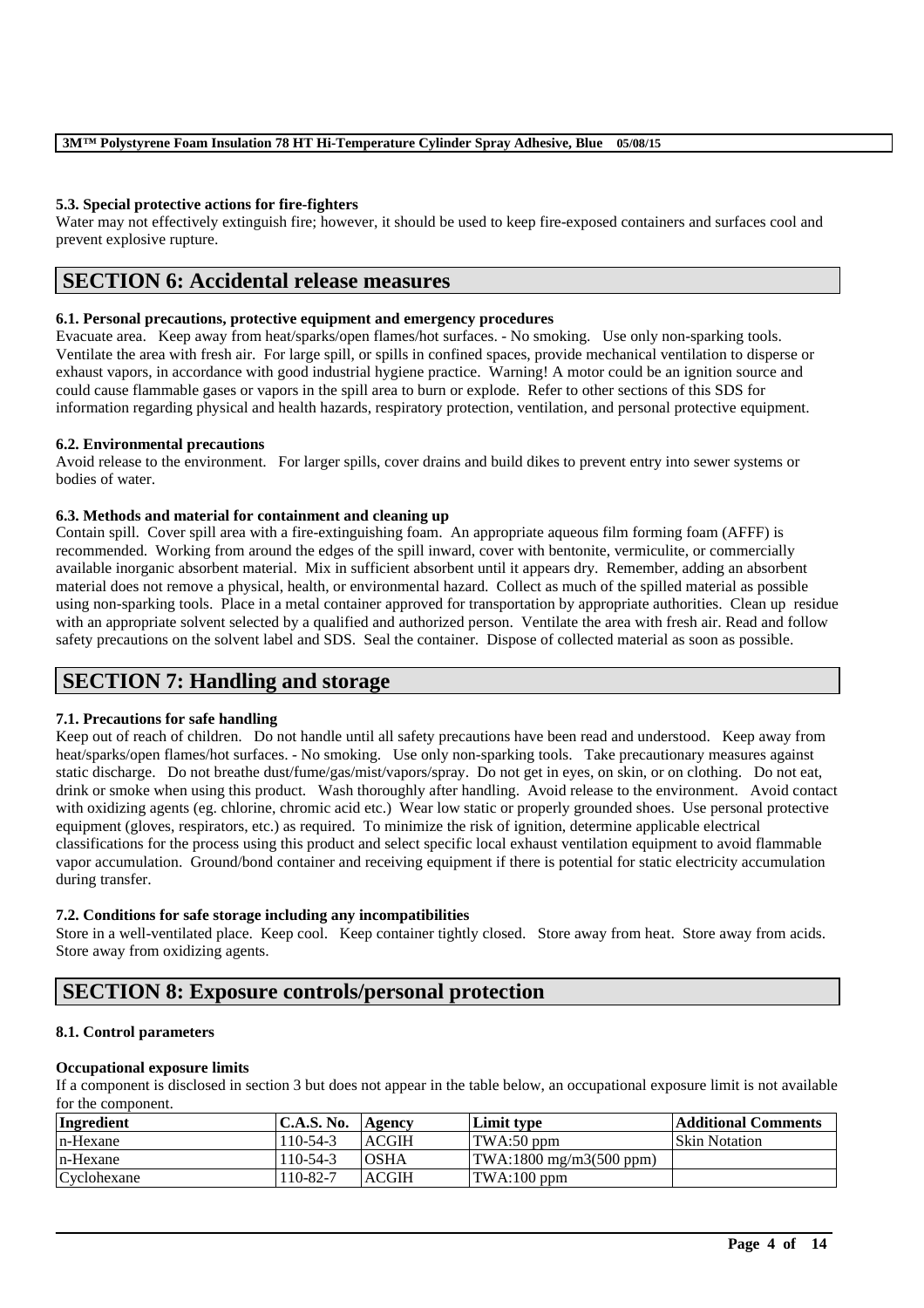## **5.3. Special protective actions for fire-fighters**

Water may not effectively extinguish fire; however, it should be used to keep fire-exposed containers and surfaces cool and prevent explosive rupture.

## **SECTION 6: Accidental release measures**

### **6.1. Personal precautions, protective equipment and emergency procedures**

Evacuate area. Keep away from heat/sparks/open flames/hot surfaces. - No smoking. Use only non-sparking tools. Ventilate the area with fresh air. For large spill, or spills in confined spaces, provide mechanical ventilation to disperse or exhaust vapors, in accordance with good industrial hygiene practice. Warning! A motor could be an ignition source and could cause flammable gases or vapors in the spill area to burn or explode. Refer to other sections of this SDS for information regarding physical and health hazards, respiratory protection, ventilation, and personal protective equipment.

#### **6.2. Environmental precautions**

Avoid release to the environment. For larger spills, cover drains and build dikes to prevent entry into sewer systems or bodies of water.

#### **6.3. Methods and material for containment and cleaning up**

Contain spill. Cover spill area with a fire-extinguishing foam. An appropriate aqueous film forming foam (AFFF) is recommended. Working from around the edges of the spill inward, cover with bentonite, vermiculite, or commercially available inorganic absorbent material. Mix in sufficient absorbent until it appears dry. Remember, adding an absorbent material does not remove a physical, health, or environmental hazard. Collect as much of the spilled material as possible using non-sparking tools. Place in a metal container approved for transportation by appropriate authorities. Clean up residue with an appropriate solvent selected by a qualified and authorized person. Ventilate the area with fresh air. Read and follow safety precautions on the solvent label and SDS. Seal the container. Dispose of collected material as soon as possible.

## **SECTION 7: Handling and storage**

## **7.1. Precautions for safe handling**

Keep out of reach of children. Do not handle until all safety precautions have been read and understood. Keep away from heat/sparks/open flames/hot surfaces. - No smoking. Use only non-sparking tools. Take precautionary measures against static discharge. Do not breathe dust/fume/gas/mist/vapors/spray. Do not get in eyes, on skin, or on clothing. Do not eat, drink or smoke when using this product. Wash thoroughly after handling. Avoid release to the environment. Avoid contact with oxidizing agents (eg. chlorine, chromic acid etc.) Wear low static or properly grounded shoes. Use personal protective equipment (gloves, respirators, etc.) as required. To minimize the risk of ignition, determine applicable electrical classifications for the process using this product and select specific local exhaust ventilation equipment to avoid flammable vapor accumulation. Ground/bond container and receiving equipment if there is potential for static electricity accumulation during transfer.

#### **7.2. Conditions for safe storage including any incompatibilities**

Store in a well-ventilated place. Keep cool. Keep container tightly closed. Store away from heat. Store away from acids. Store away from oxidizing agents.

## **SECTION 8: Exposure controls/personal protection**

## **8.1. Control parameters**

#### **Occupational exposure limits**

If a component is disclosed in section 3 but does not appear in the table below, an occupational exposure limit is not available for the component.

| Ingredient  | <b>C.A.S. No.</b> | Agency       | Limit type                       | <b>Additional Comments</b> |
|-------------|-------------------|--------------|----------------------------------|----------------------------|
| n-Hexane    | $110-54-3$        | <b>ACGIH</b> | TWA:50 ppm                       | <b>Skin Notation</b>       |
| n-Hexane    | $110-54-3$        | <b>OSHA</b>  | $\text{TWA:1800 mg/m3(500 ppm)}$ |                            |
| Cyclohexane | 110-82-7          | <b>ACGIH</b> | TWA:100 ppm                      |                            |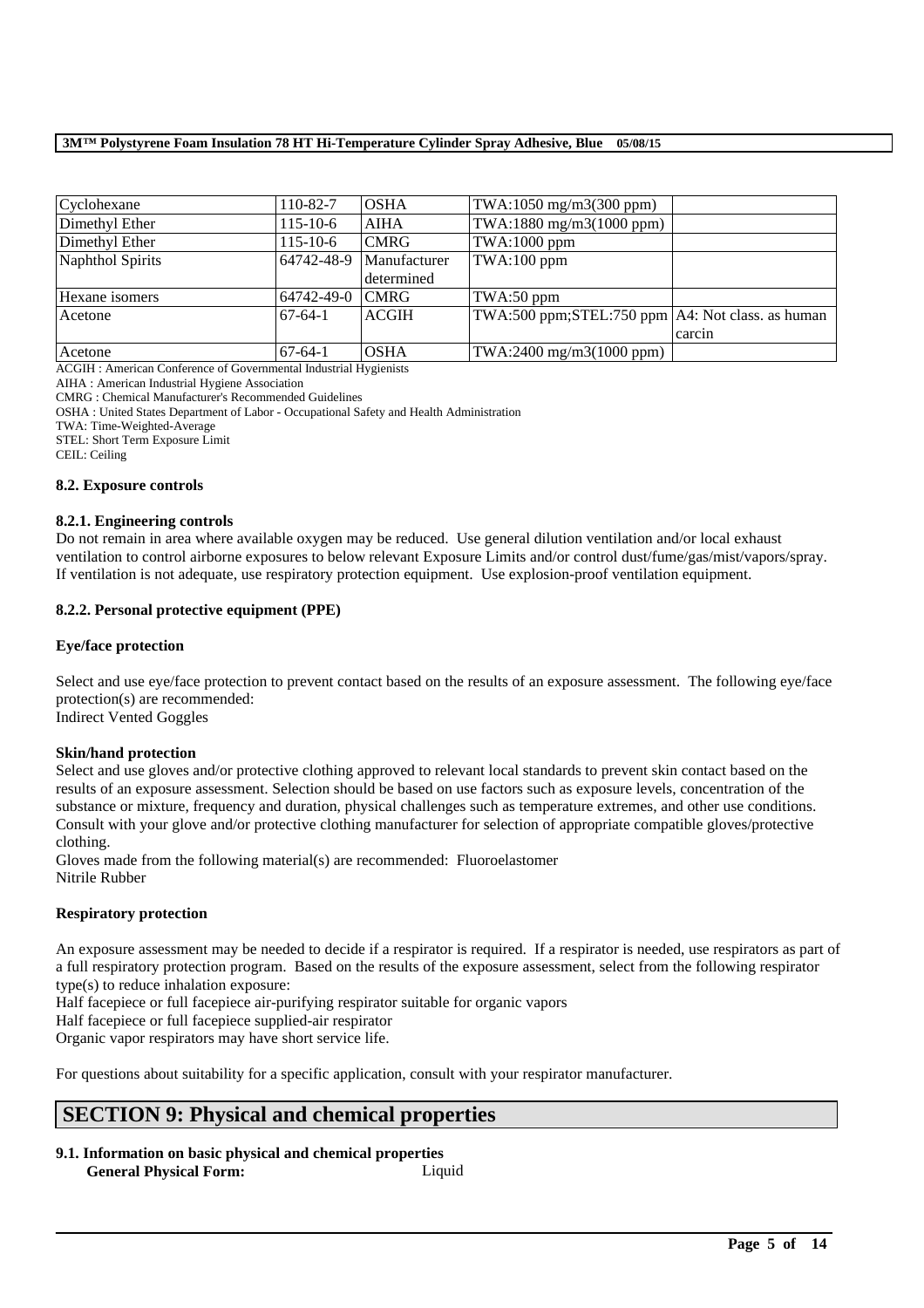| Cyclohexane      | 110-82-7       | <b>OSHA</b>  | TWA:1050 mg/m3(300 ppm)                              |        |
|------------------|----------------|--------------|------------------------------------------------------|--------|
| Dimethyl Ether   | $115 - 10 - 6$ | <b>AIHA</b>  | TWA:1880 mg/m3(1000 ppm)                             |        |
| Dimethyl Ether   | $115 - 10 - 6$ | <b>CMRG</b>  | $TWA:1000$ ppm                                       |        |
| Naphthol Spirits | 64742-48-9     | Manufacturer | $TWA:100$ ppm                                        |        |
|                  |                | determined   |                                                      |        |
| Hexane isomers   | 64742-49-0     | <b>CMRG</b>  | $TWA:50$ ppm                                         |        |
| Acetone          | $67-64-1$      | <b>ACGIH</b> | TWA:500 ppm; STEL:750 ppm $AA$ : Not class. as human |        |
|                  |                |              |                                                      | carcin |
| Acetone          | $67-64-1$      | <b>OSHA</b>  | TWA:2400 mg/m3(1000 ppm)                             |        |

ACGIH : American Conference of Governmental Industrial Hygienists

AIHA : American Industrial Hygiene Association

CMRG : Chemical Manufacturer's Recommended Guidelines

OSHA : United States Department of Labor - Occupational Safety and Health Administration

TWA: Time-Weighted-Average

STEL: Short Term Exposure Limit

CEIL: Ceiling

#### **8.2. Exposure controls**

#### **8.2.1. Engineering controls**

Do not remain in area where available oxygen may be reduced. Use general dilution ventilation and/or local exhaust ventilation to control airborne exposures to below relevant Exposure Limits and/or control dust/fume/gas/mist/vapors/spray. If ventilation is not adequate, use respiratory protection equipment. Use explosion-proof ventilation equipment.

## **8.2.2. Personal protective equipment (PPE)**

## **Eye/face protection**

Select and use eye/face protection to prevent contact based on the results of an exposure assessment. The following eye/face protection(s) are recommended:

Indirect Vented Goggles

## **Skin/hand protection**

Select and use gloves and/or protective clothing approved to relevant local standards to prevent skin contact based on the results of an exposure assessment. Selection should be based on use factors such as exposure levels, concentration of the substance or mixture, frequency and duration, physical challenges such as temperature extremes, and other use conditions. Consult with your glove and/or protective clothing manufacturer for selection of appropriate compatible gloves/protective clothing.

Gloves made from the following material(s) are recommended: Fluoroelastomer Nitrile Rubber

## **Respiratory protection**

An exposure assessment may be needed to decide if a respirator is required. If a respirator is needed, use respirators as part of a full respiratory protection program. Based on the results of the exposure assessment, select from the following respirator type(s) to reduce inhalation exposure:

\_\_\_\_\_\_\_\_\_\_\_\_\_\_\_\_\_\_\_\_\_\_\_\_\_\_\_\_\_\_\_\_\_\_\_\_\_\_\_\_\_\_\_\_\_\_\_\_\_\_\_\_\_\_\_\_\_\_\_\_\_\_\_\_\_\_\_\_\_\_\_\_\_\_\_\_\_\_\_\_\_\_\_\_\_\_\_\_\_\_

Half facepiece or full facepiece air-purifying respirator suitable for organic vapors

Half facepiece or full facepiece supplied-air respirator

Organic vapor respirators may have short service life.

For questions about suitability for a specific application, consult with your respirator manufacturer.

## **SECTION 9: Physical and chemical properties**

**9.1. Information on basic physical and chemical properties General Physical Form:** Liquid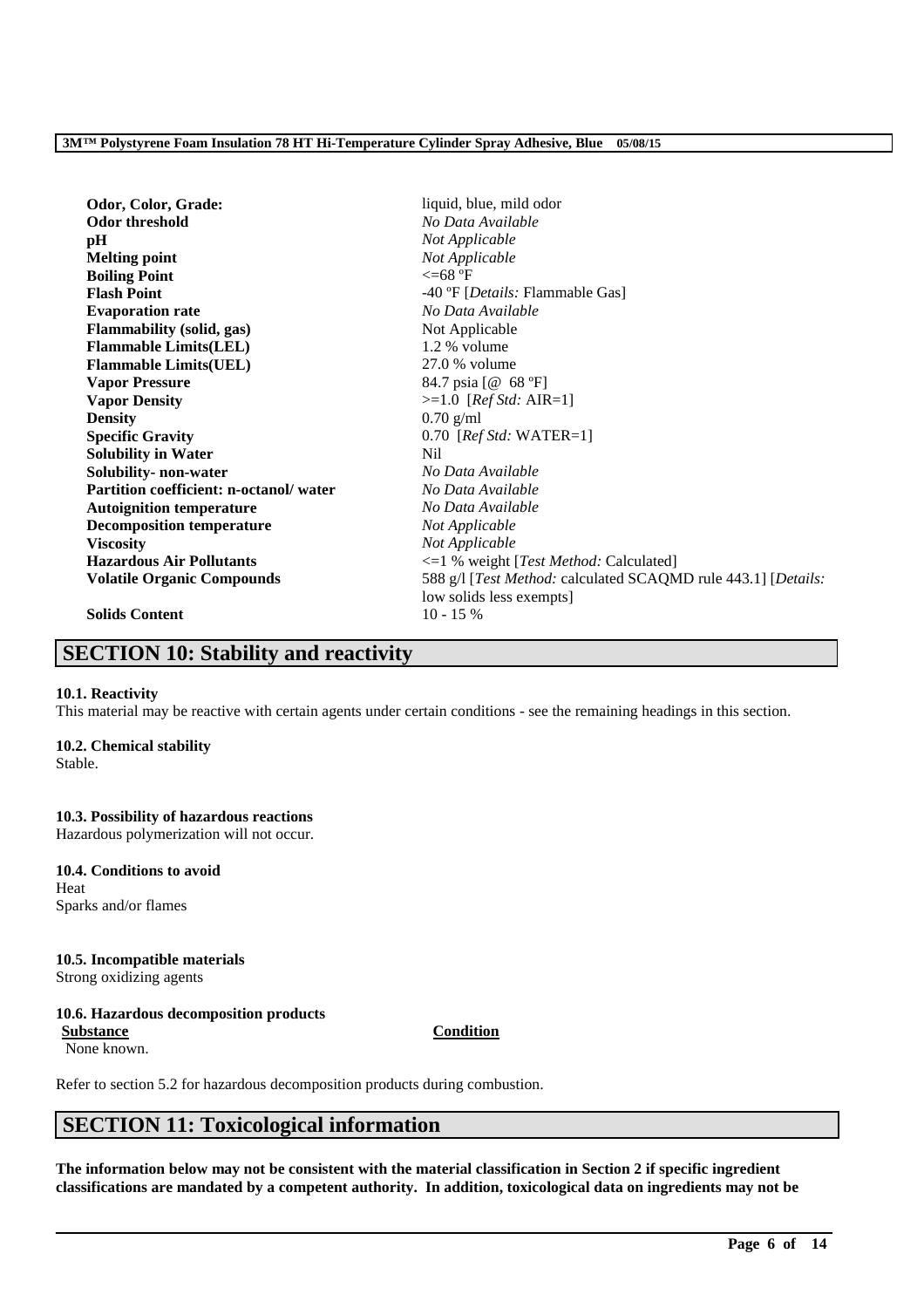| Odor, Color, Grade:                    | liquid, blue, mild odor                                       |  |
|----------------------------------------|---------------------------------------------------------------|--|
| Odor threshold                         | No Data Available                                             |  |
| pH                                     | Not Applicable                                                |  |
| <b>Melting point</b>                   | Not Applicable                                                |  |
| <b>Boiling Point</b>                   | $\epsilon = 68$ °F                                            |  |
| <b>Flash Point</b>                     | -40 °F [ <i>Details:</i> Flammable Gas]                       |  |
| <b>Evaporation rate</b>                | No Data Available                                             |  |
| <b>Flammability (solid, gas)</b>       | Not Applicable                                                |  |
| <b>Flammable Limits(LEL)</b>           | $1.2\%$ volume                                                |  |
| <b>Flammable Limits(UEL)</b>           | 27.0 % volume                                                 |  |
| <b>Vapor Pressure</b>                  | 84.7 psia [@ 68 °F]                                           |  |
| <b>Vapor Density</b>                   | $>=1.0$ [ <i>Ref Std: AIR=1</i> ]                             |  |
| <b>Density</b>                         | $0.70$ g/ml                                                   |  |
| <b>Specific Gravity</b>                | $0.70$ [ <i>Ref Std:</i> WATER=1]                             |  |
| <b>Solubility in Water</b>             | Nil                                                           |  |
| Solubility- non-water                  | No Data Available                                             |  |
| Partition coefficient: n-octanol/water | No Data Available                                             |  |
| <b>Autoignition temperature</b>        | No Data Available                                             |  |
| <b>Decomposition temperature</b>       | Not Applicable                                                |  |
| <b>Viscosity</b>                       | Not Applicable                                                |  |
| <b>Hazardous Air Pollutants</b>        | <=1 % weight [Test Method: Calculated]                        |  |
| <b>Volatile Organic Compounds</b>      | 588 g/l [Test Method: calculated SCAQMD rule 443.1] [Details: |  |
|                                        | low solids less exempts]                                      |  |
| <b>Solids Content</b>                  | $10 - 15%$                                                    |  |

## **SECTION 10: Stability and reactivity**

## **10.1. Reactivity**

This material may be reactive with certain agents under certain conditions - see the remaining headings in this section.

## **10.2. Chemical stability**

Stable.

## **10.3. Possibility of hazardous reactions**

Hazardous polymerization will not occur.

## **10.4. Conditions to avoid** Heat

Sparks and/or flames

## **10.5. Incompatible materials**

Strong oxidizing agents

## **10.6. Hazardous decomposition products**

**Substance Condition** None known.

Refer to section 5.2 for hazardous decomposition products during combustion.

## **SECTION 11: Toxicological information**

**The information below may not be consistent with the material classification in Section 2 if specific ingredient classifications are mandated by a competent authority. In addition, toxicological data on ingredients may not be**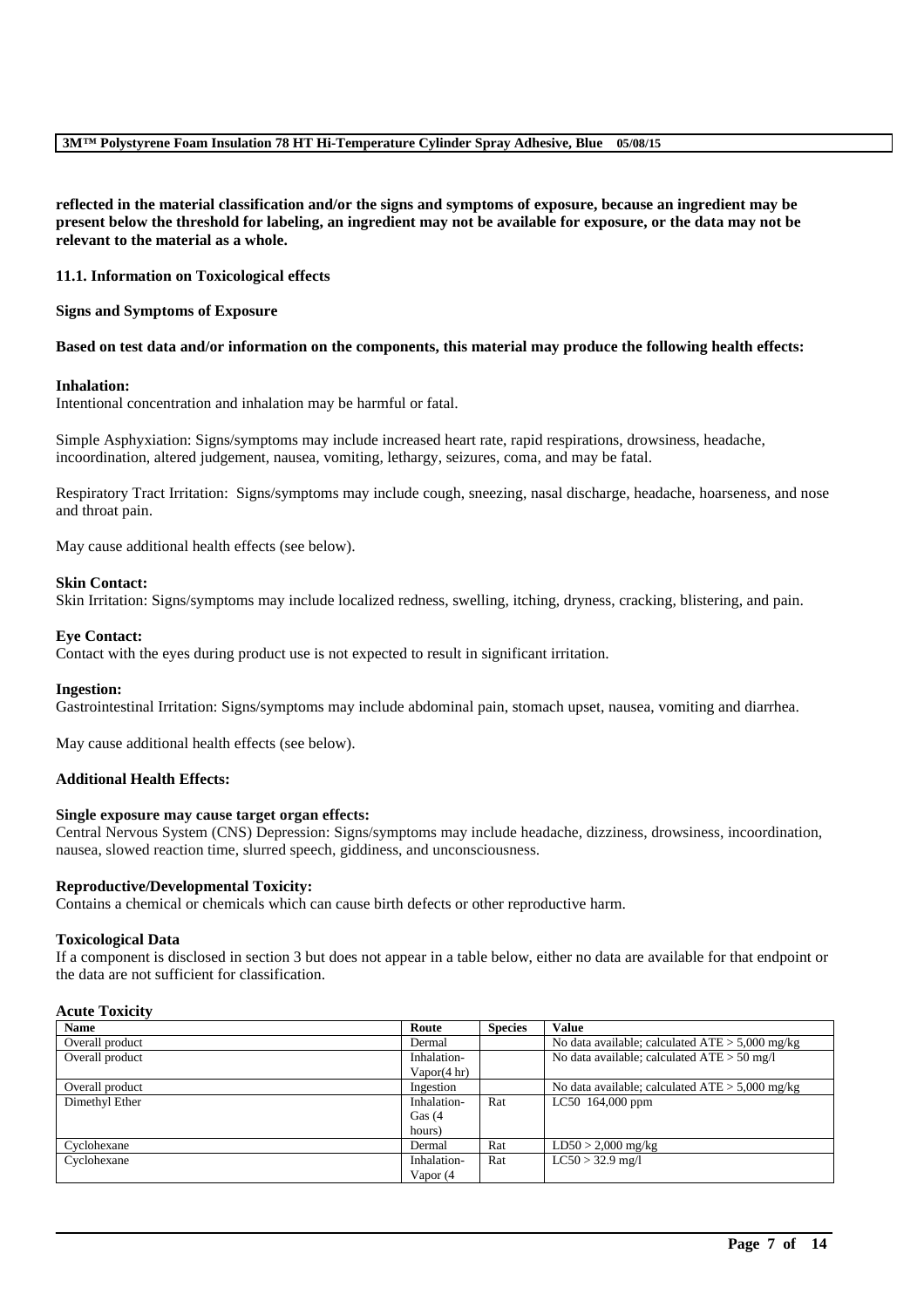**reflected in the material classification and/or the signs and symptoms of exposure, because an ingredient may be present below the threshold for labeling, an ingredient may not be available for exposure, or the data may not be relevant to the material as a whole.**

#### **11.1. Information on Toxicological effects**

#### **Signs and Symptoms of Exposure**

#### **Based on test data and/or information on the components, this material may produce the following health effects:**

#### **Inhalation:**

Intentional concentration and inhalation may be harmful or fatal.

Simple Asphyxiation: Signs/symptoms may include increased heart rate, rapid respirations, drowsiness, headache, incoordination, altered judgement, nausea, vomiting, lethargy, seizures, coma, and may be fatal.

Respiratory Tract Irritation: Signs/symptoms may include cough, sneezing, nasal discharge, headache, hoarseness, and nose and throat pain.

May cause additional health effects (see below).

#### **Skin Contact:**

Skin Irritation: Signs/symptoms may include localized redness, swelling, itching, dryness, cracking, blistering, and pain.

#### **Eye Contact:**

Contact with the eyes during product use is not expected to result in significant irritation.

#### **Ingestion:**

Gastrointestinal Irritation: Signs/symptoms may include abdominal pain, stomach upset, nausea, vomiting and diarrhea.

May cause additional health effects (see below).

#### **Additional Health Effects:**

#### **Single exposure may cause target organ effects:**

Central Nervous System (CNS) Depression: Signs/symptoms may include headache, dizziness, drowsiness, incoordination, nausea, slowed reaction time, slurred speech, giddiness, and unconsciousness.

#### **Reproductive/Developmental Toxicity:**

Contains a chemical or chemicals which can cause birth defects or other reproductive harm.

#### **Toxicological Data**

If a component is disclosed in section 3 but does not appear in a table below, either no data are available for that endpoint or the data are not sufficient for classification.

## **Acute Toxicity**

| <b>Name</b>     | Route                  | <b>Species</b> | <b>Value</b>                                      |
|-----------------|------------------------|----------------|---------------------------------------------------|
| Overall product | Dermal                 |                | No data available; calculated $ATE > 5,000$ mg/kg |
| Overall product | Inhalation-            |                | No data available; calculated $ATE > 50$ mg/l     |
|                 | Vapor $(4 \text{ hr})$ |                |                                                   |
| Overall product | Ingestion              |                | No data available; calculated $ATE > 5,000$ mg/kg |
| Dimethyl Ether  | Inhalation-            | Rat            | LC50 164,000 ppm                                  |
|                 | Gas $(4)$              |                |                                                   |
|                 | hours)                 |                |                                                   |
| Cyclohexane     | Dermal                 | Rat            | $LD50 > 2,000$ mg/kg                              |
| Cyclohexane     | Inhalation-            | Rat            | $LC50 > 32.9$ mg/l                                |
|                 | Vapor (4               |                |                                                   |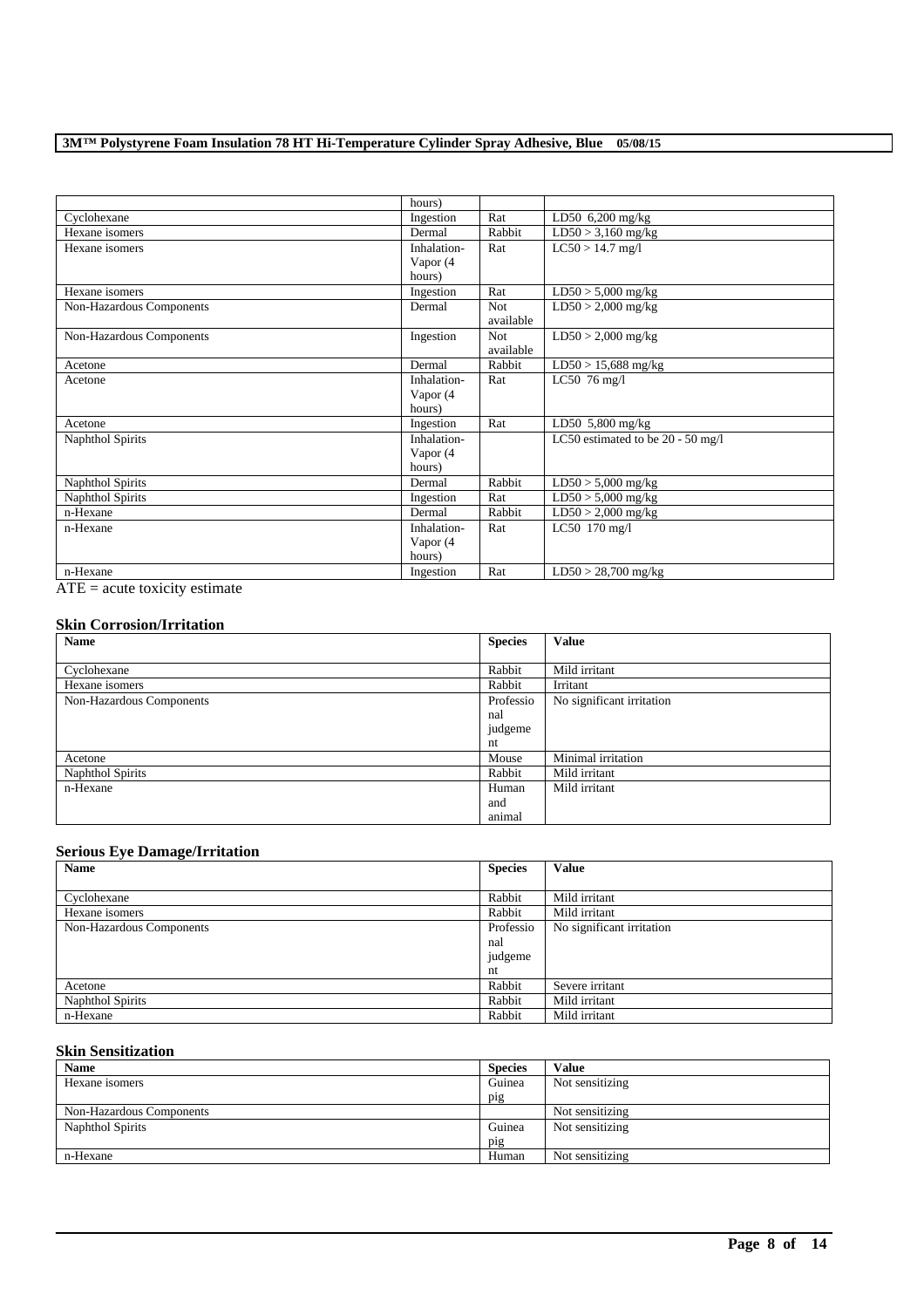| hours)      |            |                                   |
|-------------|------------|-----------------------------------|
| Ingestion   | Rat        | LD50 $6,200$ mg/kg                |
| Dermal      | Rabbit     | $LD50 > 3,160$ mg/kg              |
| Inhalation- | Rat        | $LC50 > 14.7$ mg/l                |
| Vapor (4    |            |                                   |
| hours)      |            |                                   |
| Ingestion   | Rat        | $LD50 > 5,000$ mg/kg              |
| Dermal      | <b>Not</b> | $LD50 > 2,000$ mg/kg              |
|             | available  |                                   |
| Ingestion   | <b>Not</b> | $LD50 > 2,000$ mg/kg              |
|             | available  |                                   |
| Dermal      | Rabbit     | $LD50 > 15,688$ mg/kg             |
| Inhalation- | Rat        | LC50 $76 \text{ mg}/1$            |
| Vapor (4    |            |                                   |
| hours)      |            |                                   |
| Ingestion   | Rat        | LD50 $5,800$ mg/kg                |
| Inhalation- |            | LC50 estimated to be 20 - 50 mg/l |
| Vapor (4    |            |                                   |
| hours)      |            |                                   |
| Dermal      | Rabbit     | $LD50 > 5,000$ mg/kg              |
| Ingestion   | Rat        | $LD50 > 5,000$ mg/kg              |
| Dermal      | Rabbit     | $LD50 > 2,000$ mg/kg              |
| Inhalation- | Rat        | LC50 170 mg/l                     |
| Vapor (4    |            |                                   |
| hours)      |            |                                   |
| Ingestion   | Rat        | $LD50 > 28,700$ mg/kg             |
|             |            |                                   |

 $\overline{ATE}$  = acute toxicity estimate

## **Skin Corrosion/Irritation**

| Name                     | <b>Species</b> | <b>Value</b>              |
|--------------------------|----------------|---------------------------|
|                          |                |                           |
| Cyclohexane              | Rabbit         | Mild irritant             |
| Hexane isomers           | Rabbit         | Irritant                  |
| Non-Hazardous Components | Professio      | No significant irritation |
|                          | nal            |                           |
|                          | judgeme        |                           |
|                          | nt             |                           |
| Acetone                  | Mouse          | Minimal irritation        |
| Naphthol Spirits         | Rabbit         | Mild irritant             |
| n-Hexane                 | Human          | Mild irritant             |
|                          | and            |                           |
|                          | animal         |                           |

## **Serious Eye Damage/Irritation**

| Name                     | <b>Species</b> | <b>Value</b>              |
|--------------------------|----------------|---------------------------|
|                          |                |                           |
| Cyclohexane              | Rabbit         | Mild irritant             |
| Hexane isomers           | Rabbit         | Mild irritant             |
| Non-Hazardous Components | Professio      | No significant irritation |
|                          | nal            |                           |
|                          | judgeme        |                           |
|                          | nt             |                           |
| Acetone                  | Rabbit         | Severe irritant           |
| Naphthol Spirits         | Rabbit         | Mild irritant             |
| n-Hexane                 | Rabbit         | Mild irritant             |

## **Skin Sensitization**

| <b>Name</b>              | <b>Species</b> | <b>Value</b>    |
|--------------------------|----------------|-----------------|
| Hexane isomers           | Guinea         | Not sensitizing |
|                          | pig            |                 |
| Non-Hazardous Components |                | Not sensitizing |
| Naphthol Spirits         | Guinea         | Not sensitizing |
|                          | pig            |                 |
| n-Hexane                 | Human          | Not sensitizing |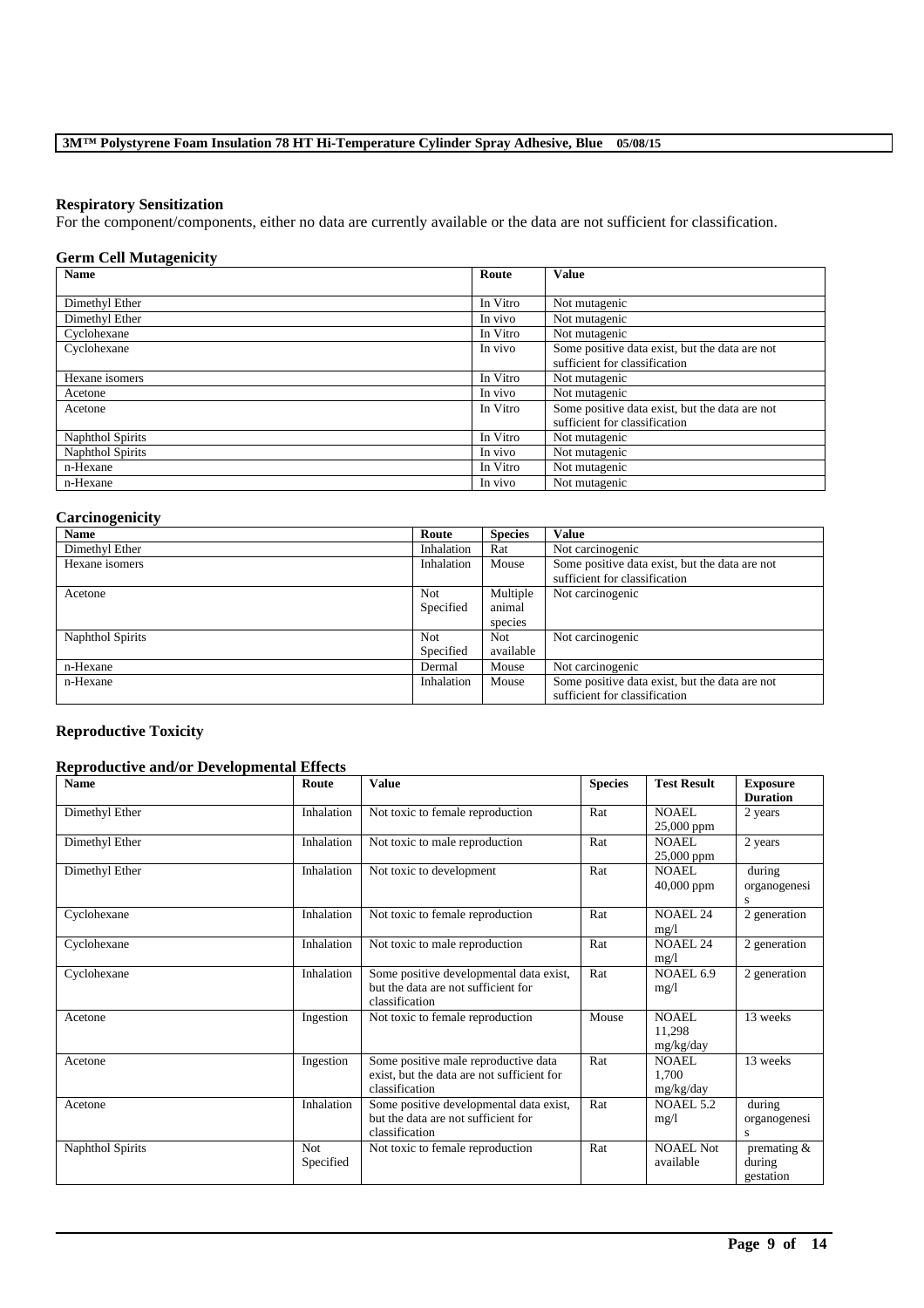#### **Respiratory Sensitization**

For the component/components, either no data are currently available or the data are not sufficient for classification.

## **Germ Cell Mutagenicity**

| <b>Name</b>      | Route    | <b>Value</b>                                                                    |
|------------------|----------|---------------------------------------------------------------------------------|
|                  |          |                                                                                 |
| Dimethyl Ether   | In Vitro | Not mutagenic                                                                   |
| Dimethyl Ether   | In vivo  | Not mutagenic                                                                   |
| Cyclohexane      | In Vitro | Not mutagenic                                                                   |
| Cyclohexane      | In vivo  | Some positive data exist, but the data are not<br>sufficient for classification |
| Hexane isomers   | In Vitro | Not mutagenic                                                                   |
| Acetone          | In vivo  | Not mutagenic                                                                   |
| Acetone          | In Vitro | Some positive data exist, but the data are not                                  |
|                  |          | sufficient for classification                                                   |
| Naphthol Spirits | In Vitro | Not mutagenic                                                                   |
| Naphthol Spirits | In vivo  | Not mutagenic                                                                   |
| n-Hexane         | In Vitro | Not mutagenic                                                                   |
| n-Hexane         | In vivo  | Not mutagenic                                                                   |

## **Carcinogenicity**

| -- ----- <b>--</b> ------<br><b>Name</b> | Route                   | <b>Species</b>                | <b>Value</b>                                                                    |
|------------------------------------------|-------------------------|-------------------------------|---------------------------------------------------------------------------------|
| Dimethyl Ether                           | Inhalation              | Rat                           | Not carcinogenic                                                                |
| Hexane isomers                           | Inhalation              | Mouse                         | Some positive data exist, but the data are not<br>sufficient for classification |
| Acetone                                  | <b>Not</b><br>Specified | Multiple<br>animal<br>species | Not carcinogenic                                                                |
| Naphthol Spirits                         | Not<br>Specified        | Not<br>available              | Not carcinogenic                                                                |
| n-Hexane                                 | Dermal                  | Mouse                         | Not carcinogenic                                                                |
| n-Hexane                                 | Inhalation              | Mouse                         | Some positive data exist, but the data are not<br>sufficient for classification |

## **Reproductive Toxicity**

### **Reproductive and/or Developmental Effects**

| <b>Name</b>      | Route                   | <b>Value</b>                                                                                         | <b>Species</b> | <b>Test Result</b>            | <b>Exposure</b><br><b>Duration</b>   |
|------------------|-------------------------|------------------------------------------------------------------------------------------------------|----------------|-------------------------------|--------------------------------------|
| Dimethyl Ether   | Inhalation              | Not toxic to female reproduction                                                                     | Rat            | NOAEL.<br>25,000 ppm          | 2 years                              |
| Dimethyl Ether   | Inhalation              | Not toxic to male reproduction                                                                       | Rat            | NOAEL.<br>$25,000$ ppm        | 2 years                              |
| Dimethyl Ether   | Inhalation              | Not toxic to development                                                                             | Rat            | NOAEL.<br>$40,000$ ppm        | during<br>organogenesi               |
| Cyclohexane      | Inhalation              | Not toxic to female reproduction                                                                     | Rat            | <b>NOAEL 24</b><br>mg/1       | 2 generation                         |
| Cyclohexane      | Inhalation              | Not toxic to male reproduction                                                                       | Rat            | <b>NOAEL 24</b><br>mg/1       | 2 generation                         |
| Cyclohexane      | Inhalation              | Some positive developmental data exist,<br>but the data are not sufficient for<br>classification     | Rat            | NOAEL 6.9<br>mg/1             | 2 generation                         |
| Acetone          | Ingestion               | Not toxic to female reproduction                                                                     | Mouse          | NOAEL.<br>11,298<br>mg/kg/day | 13 weeks                             |
| Acetone          | Ingestion               | Some positive male reproductive data<br>exist, but the data are not sufficient for<br>classification | Rat            | NOAEL.<br>1.700<br>mg/kg/day  | 13 weeks                             |
| Acetone          | Inhalation              | Some positive developmental data exist,<br>but the data are not sufficient for<br>classification     | Rat            | <b>NOAEL 5.2</b><br>mg/1      | during<br>organogenesi<br>s          |
| Naphthol Spirits | <b>Not</b><br>Specified | Not toxic to female reproduction                                                                     | Rat            | NOAEL Not<br>available        | premating $&$<br>during<br>gestation |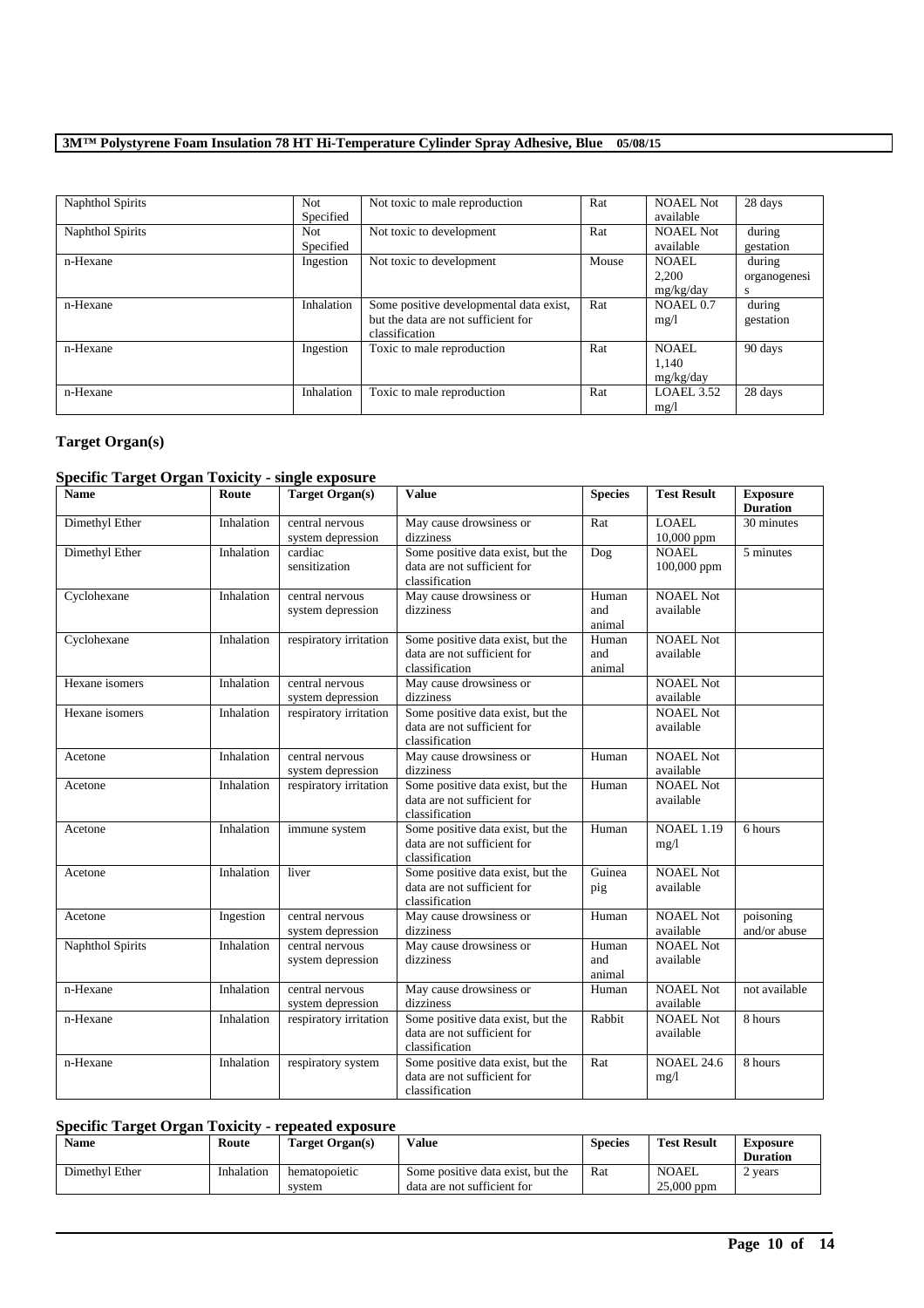| Naphthol Spirits | <b>Not</b> | Not toxic to male reproduction          | Rat   | <b>NOAEL Not</b>     | 28 days      |
|------------------|------------|-----------------------------------------|-------|----------------------|--------------|
|                  | Specified  |                                         |       | available            |              |
| Naphthol Spirits | Not.       | Not toxic to development                | Rat   | NOAEL Not            | during       |
|                  | Specified  |                                         |       | available            | gestation    |
| n-Hexane         | Ingestion  | Not toxic to development                | Mouse | NOAEL.               | during       |
|                  |            |                                         |       | 2.200                | organogenesi |
|                  |            |                                         |       | mg/kg/day            | <b>S</b>     |
| n-Hexane         | Inhalation | Some positive developmental data exist, | Rat   | NOAEL <sub>0.7</sub> | during       |
|                  |            | but the data are not sufficient for     |       | mg/l                 | gestation    |
|                  |            | classification                          |       |                      |              |
| n-Hexane         | Ingestion  | Toxic to male reproduction              | Rat   | <b>NOAEL</b>         | 90 days      |
|                  |            |                                         |       | 1,140                |              |
|                  |            |                                         |       | mg/kg/day            |              |
| n-Hexane         | Inhalation | Toxic to male reproduction              | Rat   | LOAEL 3.52           | 28 days      |
|                  |            |                                         |       | mg/l                 |              |

## **Target Organ(s)**

## **Specific Target Organ Toxicity - single exposure**

| <b>Name</b>      | Route      | <b>Target Organ(s)</b>               | <b>Value</b>                                                                       | <b>Species</b>         | <b>Test Result</b>            | <b>Exposure</b><br><b>Duration</b> |
|------------------|------------|--------------------------------------|------------------------------------------------------------------------------------|------------------------|-------------------------------|------------------------------------|
| Dimethyl Ether   | Inhalation | central nervous<br>system depression | May cause drowsiness or<br>dizziness                                               | Rat                    | <b>LOAEL</b><br>$10,000$ ppm  | 30 minutes                         |
| Dimethyl Ether   | Inhalation | cardiac<br>sensitization             | Some positive data exist, but the<br>data are not sufficient for<br>classification | Dog                    | <b>NOAEL</b><br>100,000 ppm   | 5 minutes                          |
| Cyclohexane      | Inhalation | central nervous<br>system depression | May cause drowsiness or<br>dizziness                                               | Human<br>and<br>animal | <b>NOAEL Not</b><br>available |                                    |
| Cyclohexane      | Inhalation | respiratory irritation               | Some positive data exist, but the<br>data are not sufficient for<br>classification | Human<br>and<br>animal | <b>NOAEL Not</b><br>available |                                    |
| Hexane isomers   | Inhalation | central nervous<br>system depression | May cause drowsiness or<br>dizziness                                               |                        | <b>NOAEL Not</b><br>available |                                    |
| Hexane isomers   | Inhalation | respiratory irritation               | Some positive data exist, but the<br>data are not sufficient for<br>classification |                        | <b>NOAEL Not</b><br>available |                                    |
| Acetone          | Inhalation | central nervous<br>system depression | May cause drowsiness or<br>dizziness                                               | Human                  | <b>NOAEL Not</b><br>available |                                    |
| Acetone          | Inhalation | respiratory irritation               | Some positive data exist, but the<br>data are not sufficient for<br>classification | Human                  | <b>NOAEL Not</b><br>available |                                    |
| Acetone          | Inhalation | immune system                        | Some positive data exist, but the<br>data are not sufficient for<br>classification | Human                  | <b>NOAEL 1.19</b><br>mg/1     | 6 hours                            |
| Acetone          | Inhalation | liver                                | Some positive data exist, but the<br>data are not sufficient for<br>classification | Guinea<br>pig          | <b>NOAEL Not</b><br>available |                                    |
| Acetone          | Ingestion  | central nervous<br>system depression | May cause drowsiness or<br>dizziness                                               | Human                  | <b>NOAEL Not</b><br>available | poisoning<br>and/or abuse          |
| Naphthol Spirits | Inhalation | central nervous<br>system depression | May cause drowsiness or<br>dizziness                                               | Human<br>and<br>animal | <b>NOAEL Not</b><br>available |                                    |
| n-Hexane         | Inhalation | central nervous<br>system depression | May cause drowsiness or<br>dizziness                                               | Human                  | <b>NOAEL Not</b><br>available | not available                      |
| n-Hexane         | Inhalation | respiratory irritation               | Some positive data exist, but the<br>data are not sufficient for<br>classification | Rabbit                 | <b>NOAEL Not</b><br>available | 8 hours                            |
| n-Hexane         | Inhalation | respiratory system                   | Some positive data exist, but the<br>data are not sufficient for<br>classification | Rat                    | <b>NOAEL 24.6</b><br>mg/1     | 8 hours                            |

## **Specific Target Organ Toxicity - repeated exposure**

| <b>Name</b>    | Route      | Target Organ(s)         | <b>Value</b>                                                     | Species | <b>Test Result</b>           | Exposure<br><b>Duration</b> |
|----------------|------------|-------------------------|------------------------------------------------------------------|---------|------------------------------|-----------------------------|
| Dimethyl Ether | Inhalation | hematopoietic<br>system | Some positive data exist, but the<br>data are not sufficient for | Rat     | <b>NOAEL</b><br>$25,000$ ppm | years                       |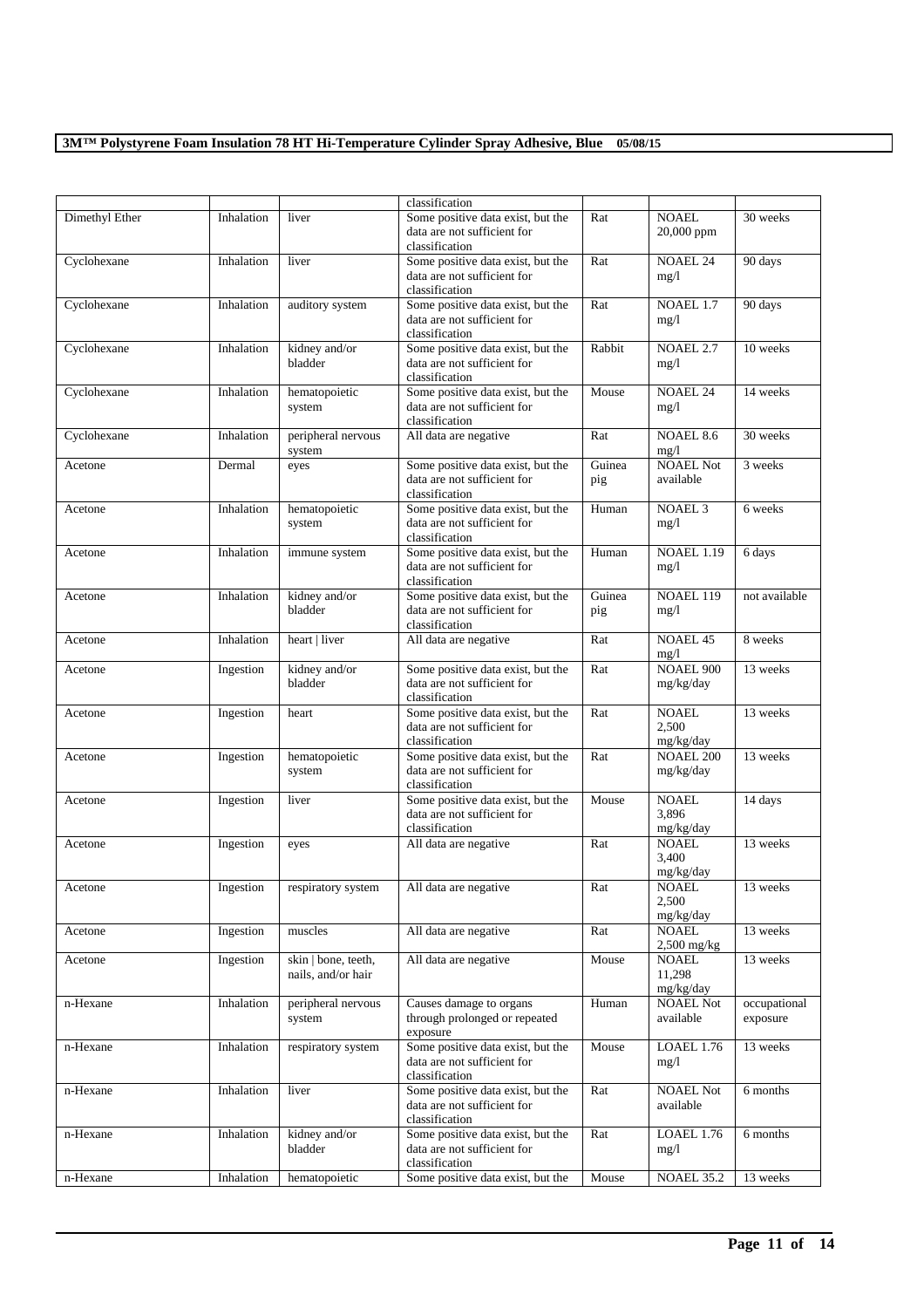|                |            |                     | classification                                                   |        |                               |               |
|----------------|------------|---------------------|------------------------------------------------------------------|--------|-------------------------------|---------------|
| Dimethyl Ether | Inhalation | liver               | Some positive data exist, but the                                | Rat    | <b>NOAEL</b>                  | 30 weeks      |
|                |            |                     | data are not sufficient for                                      |        | 20,000 ppm                    |               |
|                |            |                     | classification                                                   |        |                               |               |
| Cyclohexane    | Inhalation | liver               | Some positive data exist, but the                                | Rat    | <b>NOAEL 24</b>               | 90 days       |
|                |            |                     | data are not sufficient for                                      |        | mg/1                          |               |
|                |            |                     | classification                                                   |        |                               |               |
| Cyclohexane    | Inhalation | auditory system     | Some positive data exist, but the                                | Rat    | NOAEL 1.7                     | 90 days       |
|                |            |                     | data are not sufficient for<br>classification                    |        | mg/1                          |               |
| Cyclohexane    | Inhalation | kidney and/or       | Some positive data exist, but the                                | Rabbit | <b>NOAEL 2.7</b>              | 10 weeks      |
|                |            | bladder             | data are not sufficient for                                      |        | mg/1                          |               |
|                |            |                     | classification                                                   |        |                               |               |
| Cyclohexane    | Inhalation | hematopoietic       | Some positive data exist, but the                                | Mouse  | <b>NOAEL 24</b>               | 14 weeks      |
|                |            | system              | data are not sufficient for                                      |        | mg/1                          |               |
|                |            |                     | classification                                                   |        |                               |               |
| Cyclohexane    | Inhalation | peripheral nervous  | All data are negative                                            | Rat    | NOAEL 8.6                     | 30 weeks      |
|                |            | system              |                                                                  |        | mg/1                          |               |
| Acetone        | Dermal     | eyes                | Some positive data exist, but the                                | Guinea | <b>NOAEL Not</b>              | 3 weeks       |
|                |            |                     | data are not sufficient for<br>classification                    | pig    | available                     |               |
| Acetone        | Inhalation | hematopoietic       | Some positive data exist, but the                                | Human  | <b>NOAEL 3</b>                | 6 weeks       |
|                |            | system              | data are not sufficient for                                      |        | mg/1                          |               |
|                |            |                     | classification                                                   |        |                               |               |
| Acetone        | Inhalation | immune system       | Some positive data exist, but the                                | Human  | <b>NOAEL 1.19</b>             | 6 days        |
|                |            |                     | data are not sufficient for                                      |        | mg/1                          |               |
|                |            |                     | classification                                                   |        |                               |               |
| Acetone        | Inhalation | kidney and/or       | Some positive data exist, but the                                | Guinea | NOAEL 119                     | not available |
|                |            | bladder             | data are not sufficient for                                      | pig    | mg/1                          |               |
|                |            |                     | classification                                                   |        |                               |               |
| Acetone        | Inhalation | heart   liver       | All data are negative                                            | Rat    | <b>NOAEL 45</b><br>mg/1       | 8 weeks       |
| Acetone        | Ingestion  | kidney and/or       | Some positive data exist, but the                                | Rat    | <b>NOAEL 900</b>              | 13 weeks      |
|                |            | bladder             | data are not sufficient for                                      |        | mg/kg/day                     |               |
|                |            |                     | classification                                                   |        |                               |               |
| Acetone        | Ingestion  | heart               | Some positive data exist, but the                                | Rat    | <b>NOAEL</b>                  | 13 weeks      |
|                |            |                     | data are not sufficient for                                      |        | 2,500                         |               |
|                |            |                     | classification                                                   |        | mg/kg/day                     |               |
| Acetone        | Ingestion  | hematopoietic       | Some positive data exist, but the                                | Rat    | <b>NOAEL 200</b>              | 13 weeks      |
|                |            | system              | data are not sufficient for                                      |        | mg/kg/day                     |               |
|                |            |                     | classification                                                   |        |                               |               |
| Acetone        | Ingestion  | liver               | Some positive data exist, but the<br>data are not sufficient for | Mouse  | <b>NOAEL</b><br>3,896         | 14 days       |
|                |            |                     | classification                                                   |        | mg/kg/day                     |               |
| Acetone        | Ingestion  | eyes                | All data are negative                                            | Rat    | <b>NOAEL</b>                  | 13 weeks      |
|                |            |                     |                                                                  |        | 3,400                         |               |
|                |            |                     |                                                                  |        | mg/kg/day                     |               |
| Acetone        | Ingestion  | respiratory system  | All data are negative                                            | Rat    | NOAEL                         | 13 weeks      |
|                |            |                     |                                                                  |        | 2,500                         |               |
|                |            |                     |                                                                  |        | mg/kg/day                     |               |
| Acetone        | Ingestion  | muscles             | All data are negative                                            | Rat    | <b>NOAEL</b>                  | 13 weeks      |
| Acetone        | Ingestion  | skin   bone, teeth, | All data are negative                                            | Mouse  | $2,500$ mg/kg<br><b>NOAEL</b> | 13 weeks      |
|                |            | nails, and/or hair  |                                                                  |        | 11,298                        |               |
|                |            |                     |                                                                  |        | mg/kg/day                     |               |
| n-Hexane       | Inhalation | peripheral nervous  | Causes damage to organs                                          | Human  | <b>NOAEL Not</b>              | occupational  |
|                |            | system              | through prolonged or repeated                                    |        | available                     | exposure      |
|                |            |                     | exposure                                                         |        |                               |               |
| n-Hexane       | Inhalation | respiratory system  | Some positive data exist, but the                                | Mouse  | <b>LOAEL 1.76</b>             | 13 weeks      |
|                |            |                     | data are not sufficient for                                      |        | mg/1                          |               |
|                |            |                     | classification                                                   |        |                               |               |
| n-Hexane       | Inhalation | liver               | Some positive data exist, but the                                | Rat    | <b>NOAEL Not</b>              | 6 months      |
|                |            |                     | data are not sufficient for<br>classification                    |        | available                     |               |
| n-Hexane       | Inhalation | kidney and/or       | Some positive data exist, but the                                | Rat    | LOAEL 1.76                    | 6 months      |
|                |            | bladder             | data are not sufficient for                                      |        | mg/l                          |               |
|                |            |                     | classification                                                   |        |                               |               |
| n-Hexane       | Inhalation | hematopoietic       | Some positive data exist, but the                                | Mouse  | <b>NOAEL 35.2</b>             | 13 weeks      |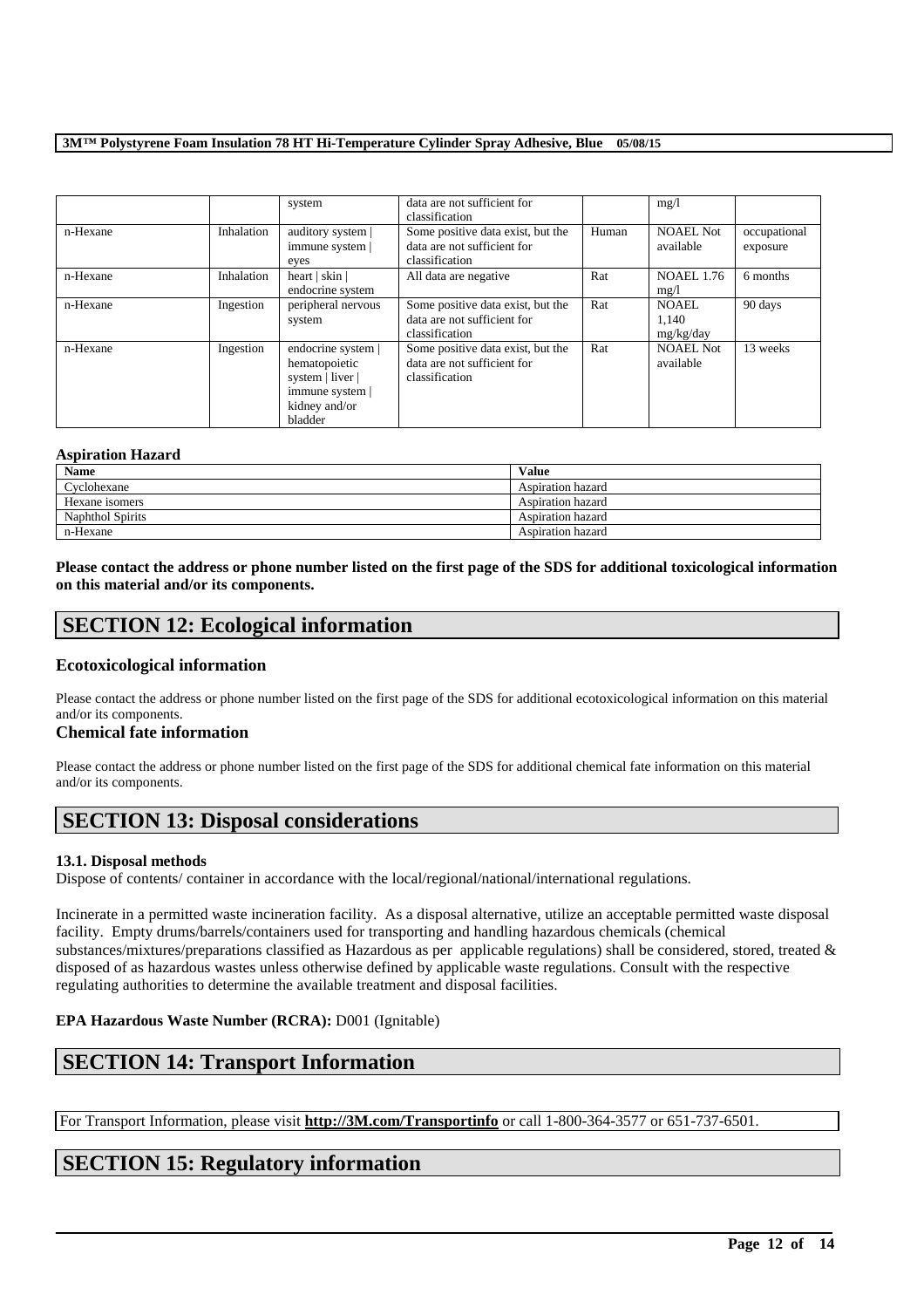|          |            | system                                                                                                 | data are not sufficient for<br>classification                                      |       | mg/1                               |                          |
|----------|------------|--------------------------------------------------------------------------------------------------------|------------------------------------------------------------------------------------|-------|------------------------------------|--------------------------|
| n-Hexane | Inhalation | auditory system  <br>immune system  <br>eyes                                                           | Some positive data exist, but the<br>data are not sufficient for<br>classification | Human | <b>NOAEL Not</b><br>available      | occupational<br>exposure |
| n-Hexane | Inhalation | heart   skin  <br>endocrine system                                                                     | All data are negative                                                              | Rat   | <b>NOAEL 1.76</b><br>mg/1          | 6 months                 |
| n-Hexane | Ingestion  | peripheral nervous<br>system                                                                           | Some positive data exist, but the<br>data are not sufficient for<br>classification | Rat   | <b>NOAEL</b><br>1.140<br>mg/kg/day | 90 days                  |
| n-Hexane | Ingestion  | endocrine system  <br>hematopoietic<br>system   liver  <br>immune system  <br>kidney and/or<br>bladder | Some positive data exist, but the<br>data are not sufficient for<br>classification | Rat   | <b>NOAEL Not</b><br>available      | 13 weeks                 |

#### **Aspiration Hazard**

| <b>Name</b>             | <b>Value</b>      |
|-------------------------|-------------------|
| Cyclohexane             | Aspiration hazard |
| Hexane isomers          | Aspiration hazard |
| <b>Naphthol Spirits</b> | Aspiration hazard |
| n-Hexane                | Aspiration hazard |

**Please contact the address or phone number listed on the first page of the SDS for additional toxicological information on this material and/or its components.**

## **SECTION 12: Ecological information**

## **Ecotoxicological information**

Please contact the address or phone number listed on the first page of the SDS for additional ecotoxicological information on this material and/or its components.

### **Chemical fate information**

Please contact the address or phone number listed on the first page of the SDS for additional chemical fate information on this material and/or its components.

## **SECTION 13: Disposal considerations**

#### **13.1. Disposal methods**

Dispose of contents/ container in accordance with the local/regional/national/international regulations.

Incinerate in a permitted waste incineration facility. As a disposal alternative, utilize an acceptable permitted waste disposal facility. Empty drums/barrels/containers used for transporting and handling hazardous chemicals (chemical substances/mixtures/preparations classified as Hazardous as per applicable regulations) shall be considered, stored, treated & disposed of as hazardous wastes unless otherwise defined by applicable waste regulations. Consult with the respective regulating authorities to determine the available treatment and disposal facilities.

## **EPA Hazardous Waste Number (RCRA):** D001 (Ignitable)

## **SECTION 14: Transport Information**

For Transport Information, please visit **http://3M.com/Transportinfo** or call 1-800-364-3577 or 651-737-6501.

\_\_\_\_\_\_\_\_\_\_\_\_\_\_\_\_\_\_\_\_\_\_\_\_\_\_\_\_\_\_\_\_\_\_\_\_\_\_\_\_\_\_\_\_\_\_\_\_\_\_\_\_\_\_\_\_\_\_\_\_\_\_\_\_\_\_\_\_\_\_\_\_\_\_\_\_\_\_\_\_\_\_\_\_\_\_\_\_\_\_

## **SECTION 15: Regulatory information**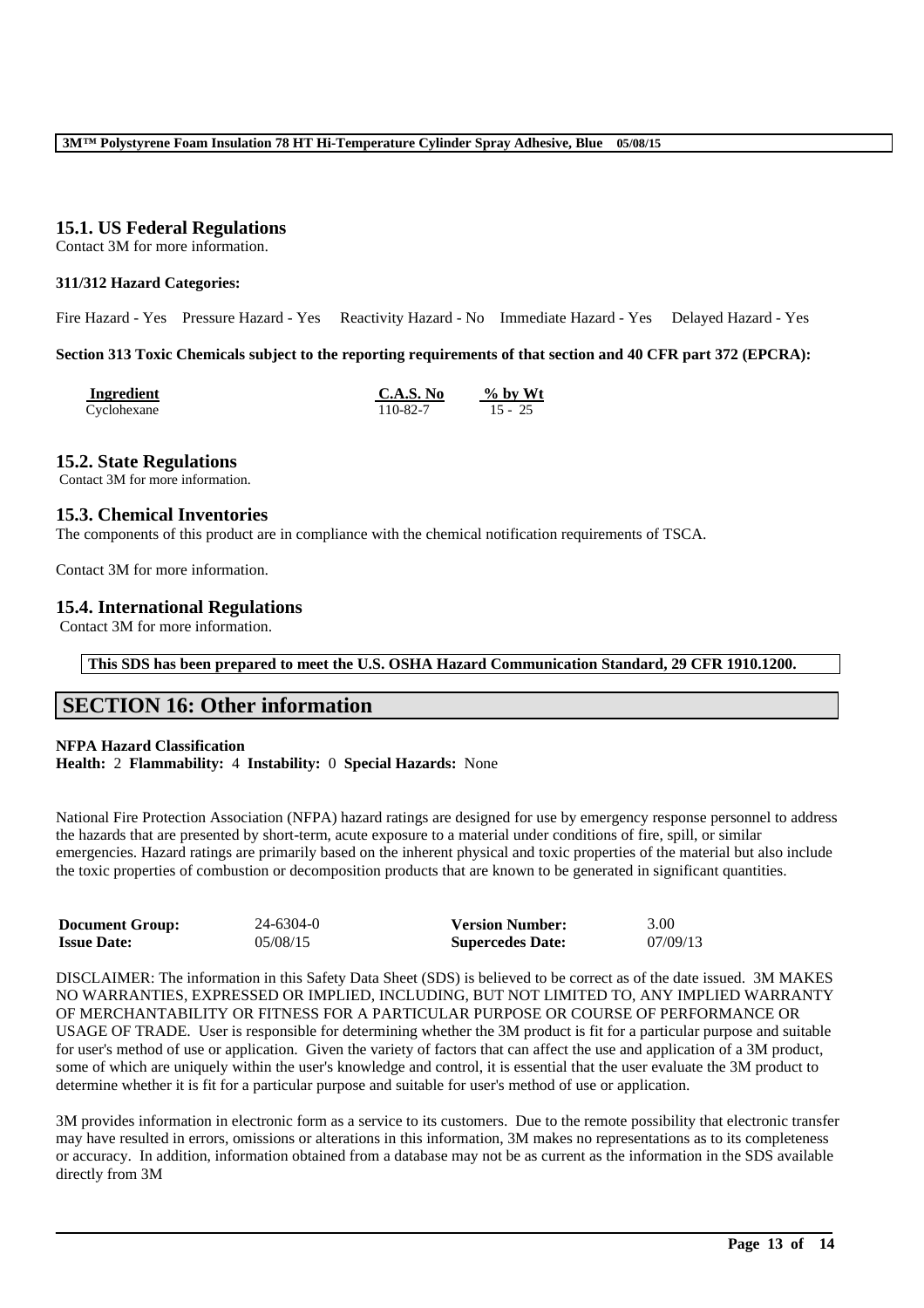## **15.1. US Federal Regulations**

Contact 3M for more information.

## **311/312 Hazard Categories:**

Fire Hazard - Yes Pressure Hazard - Yes Reactivity Hazard - No Immediate Hazard - Yes Delayed Hazard - Yes

#### **Section 313 Toxic Chemicals subject to the reporting requirements of that section and 40 CFR part 372 (EPCRA):**

| Ingredient  | C.A.S. No | $\%$ by Wt |
|-------------|-----------|------------|
| Cyclohexane | 110-82-7  | $15 - 25$  |

#### **15.2. State Regulations**

Contact 3M for more information.

## **15.3. Chemical Inventories**

The components of this product are in compliance with the chemical notification requirements of TSCA.

Contact 3M for more information.

## **15.4. International Regulations**

Contact 3M for more information.

**This SDS has been prepared to meet the U.S. OSHA Hazard Communication Standard, 29 CFR 1910.1200.**

## **SECTION 16: Other information**

### **NFPA Hazard Classification**

**Health:** 2 **Flammability:** 4 **Instability:** 0 **Special Hazards:** None

National Fire Protection Association (NFPA) hazard ratings are designed for use by emergency response personnel to address the hazards that are presented by short-term, acute exposure to a material under conditions of fire, spill, or similar emergencies. Hazard ratings are primarily based on the inherent physical and toxic properties of the material but also include the toxic properties of combustion or decomposition products that are known to be generated in significant quantities.

| <b>Document Group:</b> | 24-6304-0 | <b>Version Number:</b>  | 3.00     |
|------------------------|-----------|-------------------------|----------|
| <b>Issue Date:</b>     | 05/08/15  | <b>Supercedes Date:</b> | 07/09/13 |

DISCLAIMER: The information in this Safety Data Sheet (SDS) is believed to be correct as of the date issued. 3M MAKES NO WARRANTIES, EXPRESSED OR IMPLIED, INCLUDING, BUT NOT LIMITED TO, ANY IMPLIED WARRANTY OF MERCHANTABILITY OR FITNESS FOR A PARTICULAR PURPOSE OR COURSE OF PERFORMANCE OR USAGE OF TRADE. User is responsible for determining whether the 3M product is fit for a particular purpose and suitable for user's method of use or application. Given the variety of factors that can affect the use and application of a 3M product, some of which are uniquely within the user's knowledge and control, it is essential that the user evaluate the 3M product to determine whether it is fit for a particular purpose and suitable for user's method of use or application.

3M provides information in electronic form as a service to its customers. Due to the remote possibility that electronic transfer may have resulted in errors, omissions or alterations in this information, 3M makes no representations as to its completeness or accuracy. In addition, information obtained from a database may not be as current as the information in the SDS available directly from 3M